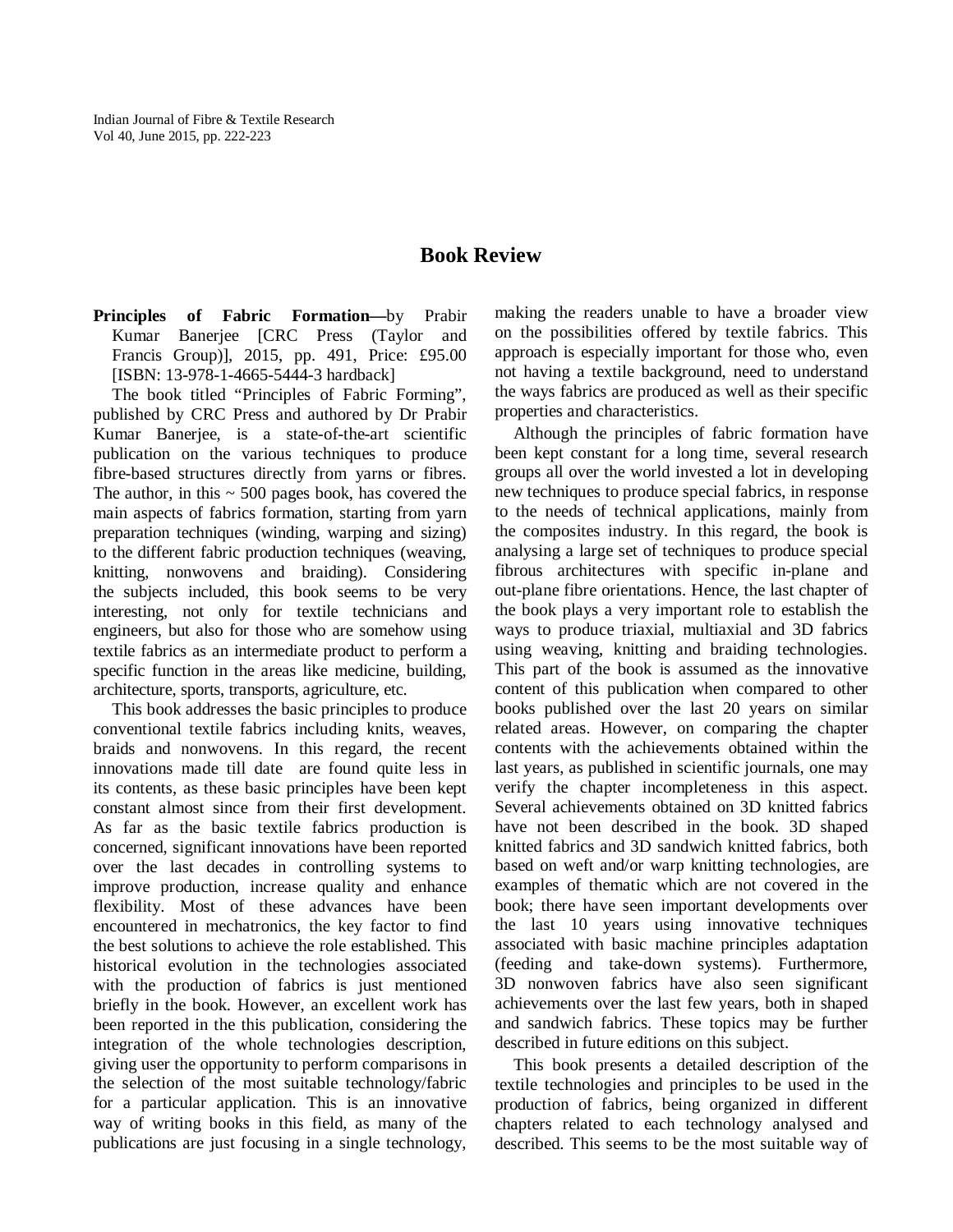## **Book Review**

**Principles of Fabric Formation—**by Prabir Kumar Banerjee [CRC Press (Taylor and Francis Group)], 2015, pp. 491, Price: £95.00 [ISBN: 13-978-1-4665-5444-3 hardback]

The book titled "Principles of Fabric Forming", published by CRC Press and authored by Dr Prabir Kumar Banerjee, is a state-of-the-art scientific publication on the various techniques to produce fibre-based structures directly from yarns or fibres. The author, in this  $\sim$  500 pages book, has covered the main aspects of fabrics formation, starting from yarn preparation techniques (winding, warping and sizing) to the different fabric production techniques (weaving, knitting, nonwovens and braiding). Considering the subjects included, this book seems to be very interesting, not only for textile technicians and engineers, but also for those who are somehow using textile fabrics as an intermediate product to perform a specific function in the areas like medicine, building, architecture, sports, transports, agriculture, etc.

This book addresses the basic principles to produce conventional textile fabrics including knits, weaves, braids and nonwovens. In this regard, the recent innovations made till date are found quite less in its contents, as these basic principles have been kept constant almost since from their first development. As far as the basic textile fabrics production is concerned, significant innovations have been reported over the last decades in controlling systems to improve production, increase quality and enhance flexibility. Most of these advances have been encountered in mechatronics, the key factor to find the best solutions to achieve the role established. This historical evolution in the technologies associated with the production of fabrics is just mentioned briefly in the book. However, an excellent work has been reported in the this publication, considering the integration of the whole technologies description, giving user the opportunity to perform comparisons in the selection of the most suitable technology/fabric for a particular application. This is an innovative way of writing books in this field, as many of the publications are just focusing in a single technology, making the readers unable to have a broader view on the possibilities offered by textile fabrics. This approach is especially important for those who, even not having a textile background, need to understand the ways fabrics are produced as well as their specific properties and characteristics.

Although the principles of fabric formation have been kept constant for a long time, several research groups all over the world invested a lot in developing new techniques to produce special fabrics, in response to the needs of technical applications, mainly from the composites industry. In this regard, the book is analysing a large set of techniques to produce special fibrous architectures with specific in-plane and out-plane fibre orientations. Hence, the last chapter of the book plays a very important role to establish the ways to produce triaxial, multiaxial and 3D fabrics using weaving, knitting and braiding technologies. This part of the book is assumed as the innovative content of this publication when compared to other books published over the last 20 years on similar related areas. However, on comparing the chapter contents with the achievements obtained within the last years, as published in scientific journals, one may verify the chapter incompleteness in this aspect. Several achievements obtained on 3D knitted fabrics have not been described in the book. 3D shaped knitted fabrics and 3D sandwich knitted fabrics, both based on weft and/or warp knitting technologies, are examples of thematic which are not covered in the book; there have seen important developments over the last 10 years using innovative techniques associated with basic machine principles adaptation (feeding and take-down systems). Furthermore, 3D nonwoven fabrics have also seen significant achievements over the last few years, both in shaped and sandwich fabrics. These topics may be further described in future editions on this subject.

This book presents a detailed description of the textile technologies and principles to be used in the production of fabrics, being organized in different chapters related to each technology analysed and described. This seems to be the most suitable way of